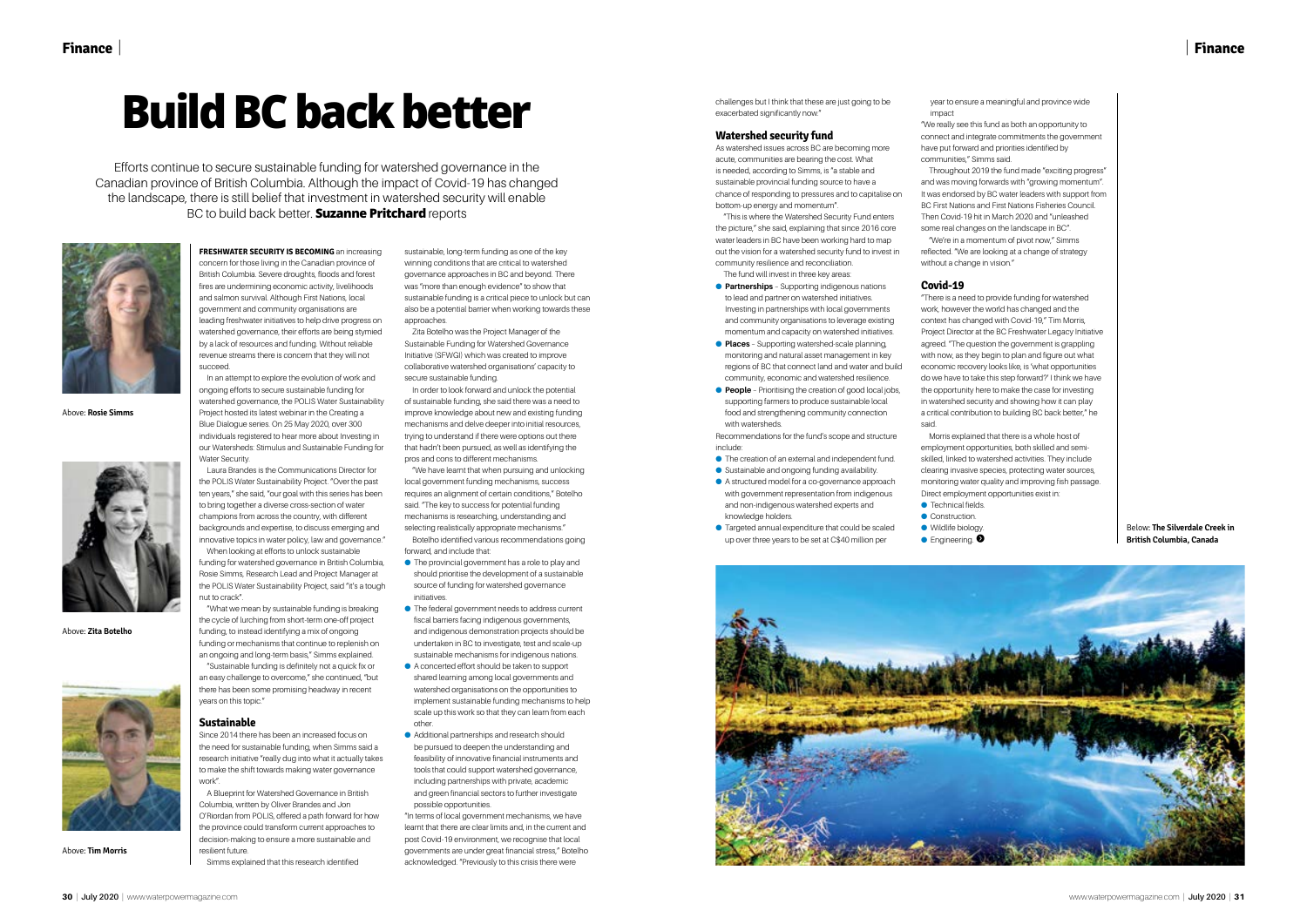# | **Finance**

**FRESHWATER SECURITY IS BECOMING** an increasing concern for those living in the Canadian province of British Columbia. Severe droughts, floods and forest fires are undermining economic activity, livelihoods and salmon survival. Although First Nations, local government and community organisations are leading freshwater initiatives to help drive progress on watershed governance, their efforts are being stymied by a lack of resources and funding. Without reliable revenue streams there is concern that they will not succeed.

In an attempt to explore the evolution of work and ongoing efforts to secure sustainable funding for watershed governance, the POLIS Water Sustainability Project hosted its latest webinar in the Creating a Blue Dialogue series. On 25 May 2020, over 300 individuals registered to hear more about Investing in our Watersheds: Stimulus and Sustainable Funding for Water Security

Laura Brandes is the Communications Director for the POLIS Water Sustainability Project. "Over the past ten years," she said, "our goal with this series has been to bring together a diverse cross-section of water champions from across the country, with different backgrounds and expertise, to discuss emerging and innovative topics in water policy, law and governance." When looking at efforts to unlock sustainable

funding for watershed governance in British Columbia, Rosie Simms, Research Lead and Project Manager at the POLIS Water Sustainability Project, said "it's a tough nut to crack".

"What we mean by sustainable funding is breaking the cycle of lurching from short-term one-off project funding, to instead identifying a mix of ongoing funding or mechanisms that continue to replenish on an ongoing and long-term basis," Simms explained. "Sustainable funding is definitely not a quick fix or an easy challenge to overcome," she continued, "but there has been some promising headway in recent years on this topic."

#### **Sustainable**

Since 2014 there has been an increased focus on the need for sustainable funding, when Simms said a research initiative "really dug into what it actually takes to make the shift towards making water governance work".

- The provincial government has a role to play and should prioritise the development of a sustainable source of funding for watershed governance initiatives.
- The federal government needs to address current fiscal barriers facing indigenous governments, and indigenous demonstration projects should be undertaken in BC to investigate, test and scale-up sustainable mechanisms for indigenous nations.
- A concerted effort should be taken to support shared learning among local governments and watershed organisations on the opportunities to implement sustainable funding mechanisms to help scale up this work so that they can learn from each other.
- Additional partnerships and research should be pursued to deepen the understanding and feasibility of innovative financial instruments and tools that could support watershed governance, including partnerships with private, academic and green financial sectors to further investigate possible opportunities.

A Blueprint for Watershed Governance in British Columbia, written by Oliver Brandes and Jon O'Riordan from POLIS, offered a path forward for how the province could transform current approaches to decision-making to ensure a more sustainable and resilient future.

Simms explained that this research identified

sustainable, long-term funding as one of the key winning conditions that are critical to watershed governance approaches in BC and beyond. There was "more than enough evidence" to show that sustainable funding is a critical piece to unlock but can also be a potential barrier when working towards these approaches.

Zita Botelho was the Project Manager of the Sustainable Funding for Watershed Governance Initiative (SFWGI) which was created to improve collaborative watershed organisations' capacity to secure sustainable funding.

- **Partnerships** Supporting indigenous nations to lead and partner on watershed initiatives. Investing in partnerships with local governments and community organisations to leverage existing momentum and capacity on watershed initiatives.
- **Places** Supporting watershed-scale planning, monitoring and natural asset management in key regions of BC that connect land and water and build community, economic and watershed resilience.
- **People** Prioritising the creation of good local jobs, supporting farmers to produce sustainable local food and strengthening community connection with watersheds.

In order to look forward and unlock the potential of sustainable funding, she said there was a need to improve knowledge about new and existing funding mechanisms and delve deeper into initial resources, trying to understand if there were options out there that hadn't been pursued, as well as identifying the pros and cons to different mechanisms.

"We have learnt that when pursuing and unlocking local government funding mechanisms, success requires an alignment of certain conditions," Botelho said. "The key to success for potential funding mechanisms is researching, understanding and selecting realistically appropriate mechanisms." Botelho identified various recommendations going forward, and include that:

"In terms of local government mechanisms, we have learnt that there are clear limits and, in the current and post Covid-19 environment, we recognise that local governments are under great financial stress," Botelho acknowledged. "Previously to this crisis there were

challenges but I think that these are just going to be exacerbated significantly now."

#### **Watershed security fund**

As watershed issues across BC are becoming more acute, communities are bearing the cost. What is needed, according to Simms, is "a stable and sustainable provincial funding source to have a chance of responding to pressures and to capitalise on bottom-up energy and momentum".

"This is where the Watershed Security Fund enters the picture," she said, explaining that since 2016 core water leaders in BC have been working hard to map out the vision for a watershed security fund to invest in community resilience and reconciliation. The fund will invest in three key areas:

Recommendations for the fund's scope and structure include:

- The creation of an external and independent fund.
- Sustainable and ongoing funding availability. ● A structured model for a co-governance approach
- with government representation from indigenous and non-indigenous watershed experts and knowledge holders. ● Targeted annual expenditure that could be scaled
- up over three years to be set at C\$40 million per



year to ensure a meaningful and province wide

impact communities," Simms said.

without a change in vision."

#### **Covid-19**

- "We really see this fund as both an opportunity to connect and integrate commitments the government have put forward and priorities identified by
- Throughout 2019 the fund made "exciting progress" and was moving forwards with "growing momentum". It was endorsed by BC water leaders with support from BC First Nations and First Nations Fisheries Council. Then Covid-19 hit in March 2020 and "unleashed some real changes on the landscape in BC". "We're in a momentum of pivot now," Simms reflected. "We are looking at a change of strategy
- "There is a need to provide funding for watershed work, however the world has changed and the context has changed with Covid-19," Tim Morris, Project Director at the BC Freshwater Legacy Initiative agreed. "The question the government is grappling with now, as they begin to plan and figure out what economic recovery looks like, is 'what opportunities do we have to take this step forward?' I think we have the opportunity here to make the case for investing in watershed security and showing how it can play a critical contribution to building BC back better," he
- Morris explained that there is a whole host of employment opportunities, both skilled and semiskilled, linked to watershed activities. They include clearing invasive species, protecting water sources, monitoring water quality and improving fish passage. Direct employment opportunities exist in:

said.

● Technical fields.

 $\bullet$  Engineering.  $\bullet$ 

# **Build BC back better**

Efforts continue to secure sustainable funding for watershed governance in the Canadian province of British Columbia. Although the impact of Covid-19 has changed the landscape, there is still belief that investment in watershed security will enable BC to build back better. **Suzanne Pritchard** reports



Above: **Rosie Simms**



Above: **Zita Botelho**



Above: **Tim Morris**

Below: **The Silverdale Creek in British Columbia, Canada**